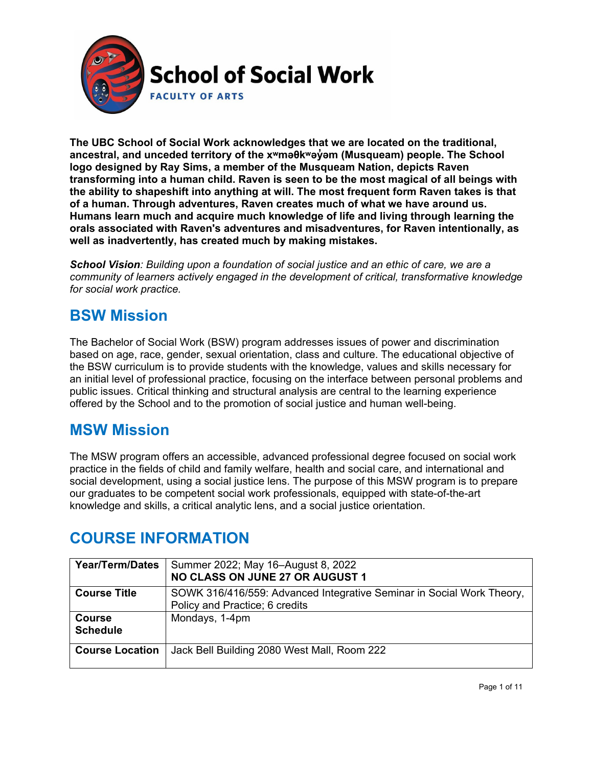

**The UBC School of Social Work acknowledges that we are located on the traditional, ancestral, and unceded territory of the [xʷməθkʷəy̓əm](http://www.musqueam.bc.ca/) (Musqueam) people. The School logo designed by Ray Sims, a member of the Musqueam Nation, depicts Raven transforming into a human child. Raven is seen to be the most magical of all beings with the ability to shapeshift into anything at will. The most frequent form Raven takes is that of a human. Through adventures, Raven creates much of what we have around us. Humans learn much and acquire much knowledge of life and living through learning the orals associated with Raven's adventures and misadventures, for Raven intentionally, as well as inadvertently, has created much by making mistakes.**

*School Vision: Building upon a foundation of social justice and an ethic of care, we are a community of learners actively engaged in the development of critical, transformative knowledge for social work practice.*

### **BSW Mission**

The Bachelor of Social Work (BSW) program addresses issues of power and discrimination based on age, race, gender, sexual orientation, class and culture. The educational objective of the BSW curriculum is to provide students with the knowledge, values and skills necessary for an initial level of professional practice, focusing on the interface between personal problems and public issues. Critical thinking and structural analysis are central to the learning experience offered by the School and to the promotion of social justice and human well-being.

### **MSW Mission**

The MSW program offers an accessible, advanced professional degree focused on social work practice in the fields of child and family welfare, health and social care, and international and social development, using a social justice lens. The purpose of this MSW program is to prepare our graduates to be competent social work professionals, equipped with state-of-the-art knowledge and skills, a critical analytic lens, and a social justice orientation.

### **COURSE INFORMATION**

| <b>Year/Term/Dates</b> | Summer 2022; May 16-August 8, 2022                                    |  |  |
|------------------------|-----------------------------------------------------------------------|--|--|
|                        | NO CLASS ON JUNE 27 OR AUGUST 1                                       |  |  |
| <b>Course Title</b>    | SOWK 316/416/559: Advanced Integrative Seminar in Social Work Theory, |  |  |
|                        | Policy and Practice; 6 credits                                        |  |  |
| <b>Course</b>          | Mondays, 1-4pm                                                        |  |  |
| <b>Schedule</b>        |                                                                       |  |  |
| <b>Course Location</b> | Jack Bell Building 2080 West Mall, Room 222                           |  |  |
|                        |                                                                       |  |  |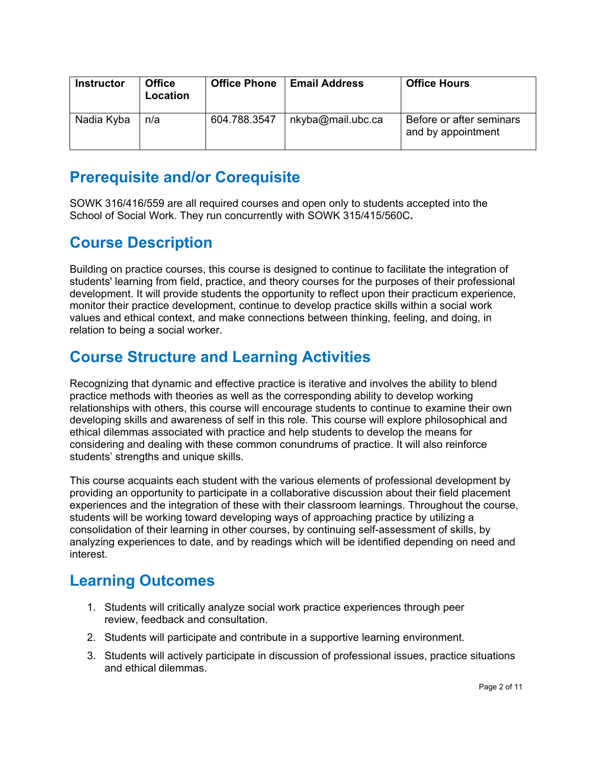| <b>Instructor</b> | <b>Office</b><br>Location | <b>Office Phone</b> | <b>Email Address</b> | <b>Office Hours</b>                            |
|-------------------|---------------------------|---------------------|----------------------|------------------------------------------------|
| Nadia Kyba        | n/a                       | 604.788.3547        | nkyba@mail.ubc.ca    | Before or after seminars<br>and by appointment |

### **Prerequisite and/or Corequisite**

SOWK 316/416/559 are all required courses and open only to students accepted into the School of Social Work. They run concurrently with SOWK 315/415/560C**.**

## **Course Description**

Building on practice courses, this course is designed to continue to facilitate the integration of students' learning from field, practice, and theory courses for the purposes of their professional development. It will provide students the opportunity to reflect upon their practicum experience, monitor their practice development, continue to develop practice skills within a social work values and ethical context, and make connections between thinking, feeling, and doing, in relation to being a social worker.

## **Course Structure and Learning Activities**

Recognizing that dynamic and effective practice is iterative and involves the ability to blend practice methods with theories as well as the corresponding ability to develop working relationships with others, this course will encourage students to continue to examine their own developing skills and awareness of self in this role. This course will explore philosophical and ethical dilemmas associated with practice and help students to develop the means for considering and dealing with these common conundrums of practice. It will also reinforce students' strengths and unique skills.

This course acquaints each student with the various elements of professional development by providing an opportunity to participate in a collaborative discussion about their field placement experiences and the integration of these with their classroom learnings. Throughout the course, students will be working toward developing ways of approaching practice by utilizing a consolidation of their learning in other courses, by continuing self-assessment of skills, by analyzing experiences to date, and by readings which will be identified depending on need and interest.

### **Learning Outcomes**

- 1. Students will critically analyze social work practice experiences through peer review, feedback and consultation.
- 2. Students will participate and contribute in a supportive learning environment.
- 3. Students will actively participate in discussion of professional issues, practice situations and ethical dilemmas.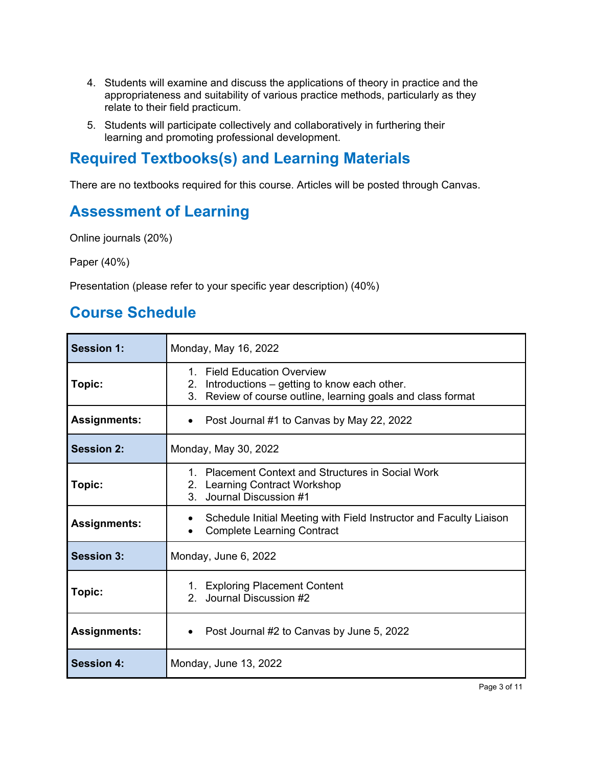- 4. Students will examine and discuss the applications of theory in practice and the appropriateness and suitability of various practice methods, particularly as they relate to their field practicum.
- 5. Students will participate collectively and collaboratively in furthering their learning and promoting professional development.

### **Required Textbooks(s) and Learning Materials**

There are no textbooks required for this course. Articles will be posted through Canvas.

### **Assessment of Learning**

Online journals (20%)

Paper (40%)

Presentation (please refer to your specific year description) (40%)

### **Course Schedule**

| <b>Session 1:</b>   | Monday, May 16, 2022                                                                                                                                   |  |  |
|---------------------|--------------------------------------------------------------------------------------------------------------------------------------------------------|--|--|
| Topic:              | <b>Field Education Overview</b><br>1<br>2. Introductions – getting to know each other.<br>3. Review of course outline, learning goals and class format |  |  |
| <b>Assignments:</b> | Post Journal #1 to Canvas by May 22, 2022                                                                                                              |  |  |
| <b>Session 2:</b>   | Monday, May 30, 2022                                                                                                                                   |  |  |
| Topic:              | <b>Placement Context and Structures in Social Work</b><br>$1 \quad$<br>2. Learning Contract Workshop<br>Journal Discussion #1<br>3.                    |  |  |
| <b>Assignments:</b> | Schedule Initial Meeting with Field Instructor and Faculty Liaison<br><b>Complete Learning Contract</b>                                                |  |  |
| <b>Session 3:</b>   | Monday, June 6, 2022                                                                                                                                   |  |  |
| Topic:              | 1. Exploring Placement Content<br>Journal Discussion #2<br>2.                                                                                          |  |  |
| <b>Assignments:</b> | Post Journal #2 to Canvas by June 5, 2022                                                                                                              |  |  |
| <b>Session 4:</b>   | Monday, June 13, 2022                                                                                                                                  |  |  |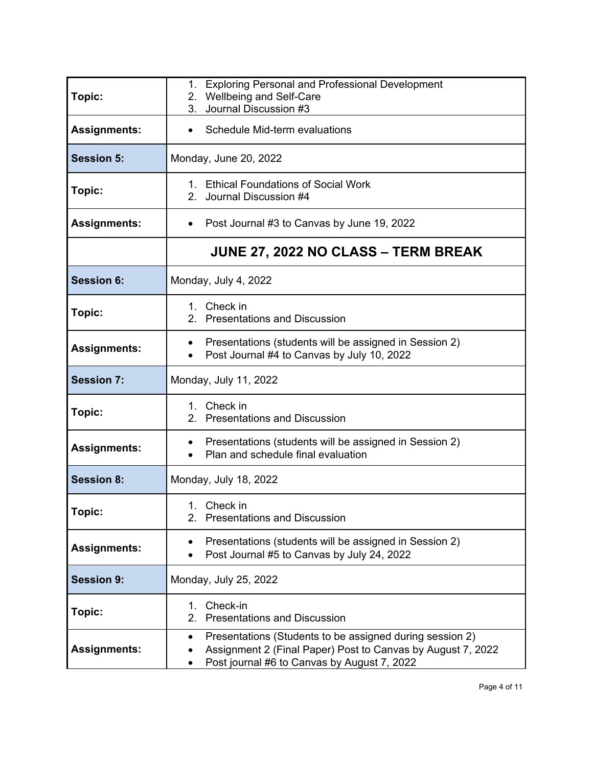| Topic:              | 1. Exploring Personal and Professional Development<br>2. Wellbeing and Self-Care                                                                                                    |  |  |
|---------------------|-------------------------------------------------------------------------------------------------------------------------------------------------------------------------------------|--|--|
|                     | 3. Journal Discussion #3                                                                                                                                                            |  |  |
| <b>Assignments:</b> | Schedule Mid-term evaluations                                                                                                                                                       |  |  |
| <b>Session 5:</b>   | Monday, June 20, 2022                                                                                                                                                               |  |  |
| Topic:              | 1. Ethical Foundations of Social Work<br>2. Journal Discussion #4                                                                                                                   |  |  |
| <b>Assignments:</b> | Post Journal #3 to Canvas by June 19, 2022<br>$\bullet$                                                                                                                             |  |  |
|                     | <b>JUNE 27, 2022 NO CLASS – TERM BREAK</b>                                                                                                                                          |  |  |
| <b>Session 6:</b>   | Monday, July 4, 2022                                                                                                                                                                |  |  |
| Topic:              | 1. Check in<br>2. Presentations and Discussion                                                                                                                                      |  |  |
| <b>Assignments:</b> | Presentations (students will be assigned in Session 2)<br>$\bullet$<br>Post Journal #4 to Canvas by July 10, 2022<br>$\bullet$                                                      |  |  |
| <b>Session 7:</b>   | Monday, July 11, 2022                                                                                                                                                               |  |  |
| Topic:              | 1. Check in<br>2. Presentations and Discussion                                                                                                                                      |  |  |
| <b>Assignments:</b> | Presentations (students will be assigned in Session 2)<br>٠<br>Plan and schedule final evaluation<br>$\bullet$                                                                      |  |  |
| <b>Session 8:</b>   | Monday, July 18, 2022                                                                                                                                                               |  |  |
| <b>Topic:</b>       | 1. Check in<br>2. Presentations and Discussion                                                                                                                                      |  |  |
| <b>Assignments:</b> | Presentations (students will be assigned in Session 2)<br>Post Journal #5 to Canvas by July 24, 2022                                                                                |  |  |
| <b>Session 9:</b>   | Monday, July 25, 2022                                                                                                                                                               |  |  |
| Topic:              | Check-in<br>1.<br>2.<br><b>Presentations and Discussion</b>                                                                                                                         |  |  |
| <b>Assignments:</b> | Presentations (Students to be assigned during session 2)<br>Assignment 2 (Final Paper) Post to Canvas by August 7, 2022<br>Post journal #6 to Canvas by August 7, 2022<br>$\bullet$ |  |  |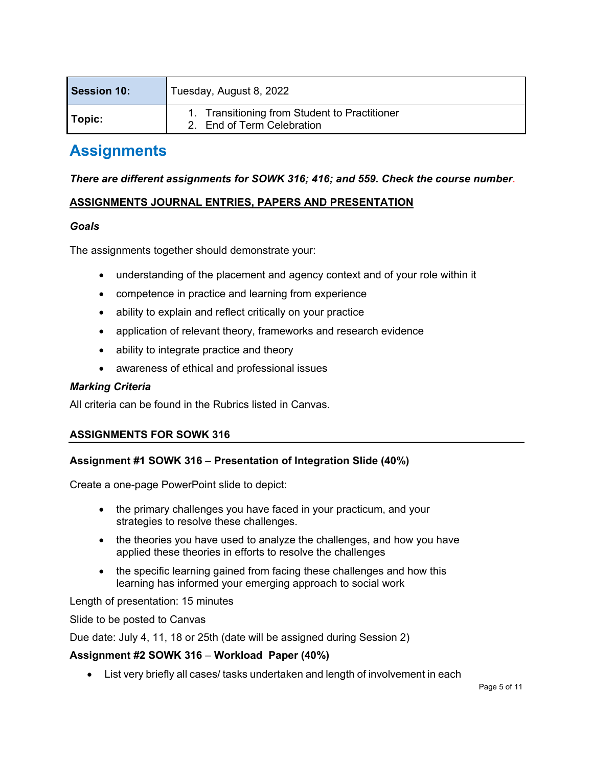| <b>Session 10:</b> | Tuesday, August 8, 2022                                                     |  |  |
|--------------------|-----------------------------------------------------------------------------|--|--|
| ' Topic:           | 1. Transitioning from Student to Practitioner<br>2. End of Term Celebration |  |  |

### **Assignments**

#### *There are different assignments for SOWK 316; 416; and 559. Check the course number*.

### **ASSIGNMENTS JOURNAL ENTRIES, PAPERS AND PRESENTATION**

#### *Goals*

The assignments together should demonstrate your:

- understanding of the placement and agency context and of your role within it
- competence in practice and learning from experience
- ability to explain and reflect critically on your practice
- application of relevant theory, frameworks and research evidence
- ability to integrate practice and theory
- awareness of ethical and professional issues

#### *Marking Criteria*

All criteria can be found in the Rubrics listed in Canvas.

#### **ASSIGNMENTS FOR SOWK 316**

#### **Assignment #1 SOWK 316** – **Presentation of Integration Slide (40%)**

Create a one-page PowerPoint slide to depict:

- the primary challenges you have faced in your practicum, and your strategies to resolve these challenges.
- the theories you have used to analyze the challenges, and how you have applied these theories in efforts to resolve the challenges
- the specific learning gained from facing these challenges and how this learning has informed your emerging approach to social work

Length of presentation: 15 minutes

Slide to be posted to Canvas

Due date: July 4, 11, 18 or 25th (date will be assigned during Session 2)

#### **Assignment #2 SOWK 316** – **Workload Paper (40%)**

• List very briefly all cases/ tasks undertaken and length of involvement in each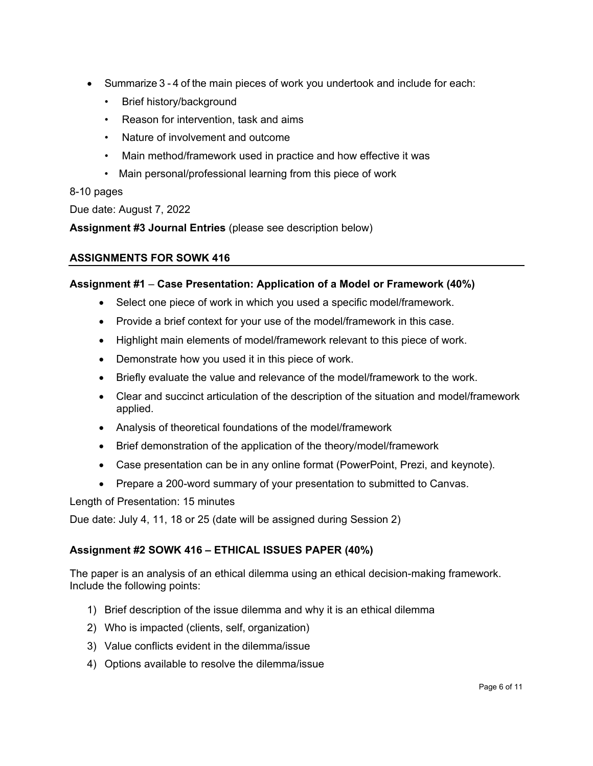- Summarize 3 4 of the main pieces of work you undertook and include for each:
	- Brief history/background
	- Reason for intervention, task and aims
	- Nature of involvement and outcome
	- Main method/framework used in practice and how effective it was
	- Main personal/professional learning from this piece of work

### 8-10 pages

Due date: August 7, 2022

**Assignment #3 Journal Entries** (please see description below)

### **ASSIGNMENTS FOR SOWK 416**

#### **Assignment #1** – **Case Presentation: Application of a Model or Framework (40%)**

- Select one piece of work in which you used a specific model/framework.
- Provide a brief context for your use of the model/framework in this case.
- Highlight main elements of model/framework relevant to this piece of work.
- Demonstrate how you used it in this piece of work.
- Briefly evaluate the value and relevance of the model/framework to the work.
- Clear and succinct articulation of the description of the situation and model/framework applied.
- Analysis of theoretical foundations of the model/framework
- Brief demonstration of the application of the theory/model/framework
- Case presentation can be in any online format (PowerPoint, Prezi, and keynote).
- Prepare a 200-word summary of your presentation to submitted to Canvas.

Length of Presentation: 15 minutes

Due date: July 4, 11, 18 or 25 (date will be assigned during Session 2)

#### **Assignment #2 SOWK 416 – ETHICAL ISSUES PAPER (40%)**

The paper is an analysis of an ethical dilemma using an ethical decision-making framework. Include the following points:

- 1) Brief description of the issue dilemma and why it is an ethical dilemma
- 2) Who is impacted (clients, self, organization)
- 3) Value conflicts evident in the dilemma/issue
- 4) Options available to resolve the dilemma/issue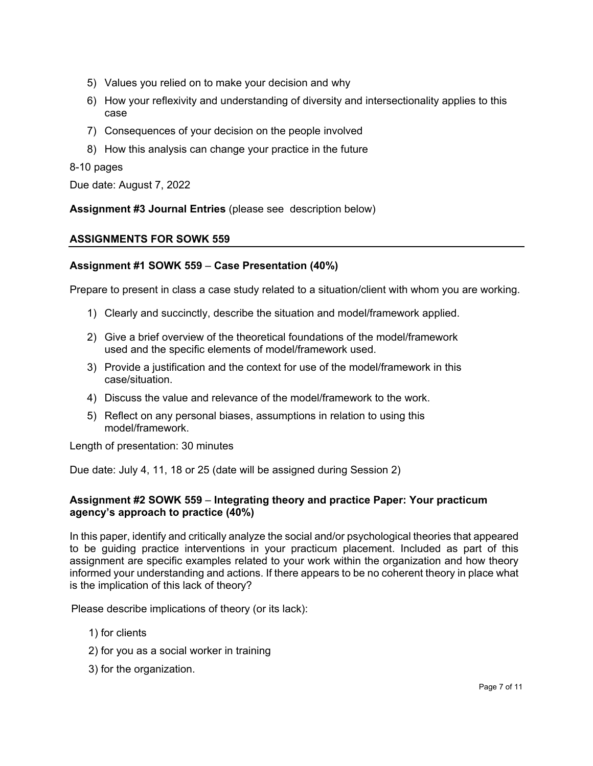- 5) Values you relied on to make your decision and why
- 6) How your reflexivity and understanding of diversity and intersectionality applies to this case
- 7) Consequences of your decision on the people involved
- 8) How this analysis can change your practice in the future

#### 8-10 pages

Due date: August 7, 2022

**Assignment #3 Journal Entries** (please see description below)

### **ASSIGNMENTS FOR SOWK 559**

#### **Assignment #1 SOWK 559** – **Case Presentation (40%)**

Prepare to present in class a case study related to a situation/client with whom you are working.

- 1) Clearly and succinctly, describe the situation and model/framework applied.
- 2) Give a brief overview of the theoretical foundations of the model/framework used and the specific elements of model/framework used.
- 3) Provide a justification and the context for use of the model/framework in this case/situation.
- 4) Discuss the value and relevance of the model/framework to the work.
- 5) Reflect on any personal biases, assumptions in relation to using this model/framework.

Length of presentation: 30 minutes

Due date: July 4, 11, 18 or 25 (date will be assigned during Session 2)

#### **Assignment #2 SOWK 559** – **Integrating theory and practice Paper: Your practicum agency's approach to practice (40%)**

In this paper, identify and critically analyze the social and/or psychological theories that appeared to be guiding practice interventions in your practicum placement. Included as part of this assignment are specific examples related to your work within the organization and how theory informed your understanding and actions. If there appears to be no coherent theory in place what is the implication of this lack of theory?

Please describe implications of theory (or its lack):

- 1) for clients
- 2) for you as a social worker in training
- 3) for the organization.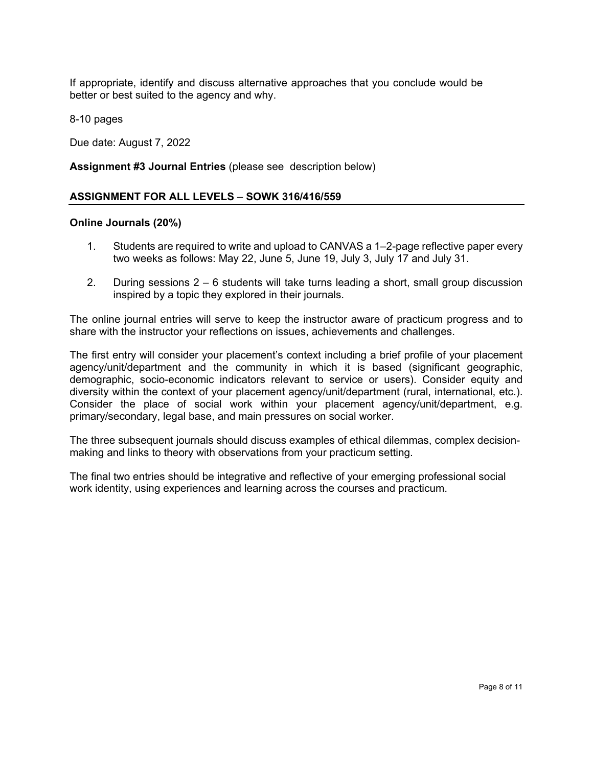If appropriate, identify and discuss alternative approaches that you conclude would be better or best suited to the agency and why.

8-10 pages

Due date: August 7, 2022

#### **Assignment #3 Journal Entries** (please see description below)

#### **ASSIGNMENT FOR ALL LEVELS** – **SOWK 316/416/559**

#### **Online Journals (20%)**

- 1. Students are required to write and upload to CANVAS a 1–2-page reflective paper every two weeks as follows: May 22, June 5, June 19, July 3, July 17 and July 31.
- 2. During sessions 2 6 students will take turns leading a short, small group discussion inspired by a topic they explored in their journals.

The online journal entries will serve to keep the instructor aware of practicum progress and to share with the instructor your reflections on issues, achievements and challenges.

The first entry will consider your placement's context including a brief profile of your placement agency/unit/department and the community in which it is based (significant geographic, demographic, socio-economic indicators relevant to service or users). Consider equity and diversity within the context of your placement agency/unit/department (rural, international, etc.). Consider the place of social work within your placement agency/unit/department, e.g. primary/secondary, legal base, and main pressures on social worker.

The three subsequent journals should discuss examples of ethical dilemmas, complex decisionmaking and links to theory with observations from your practicum setting.

The final two entries should be integrative and reflective of your emerging professional social work identity, using experiences and learning across the courses and practicum.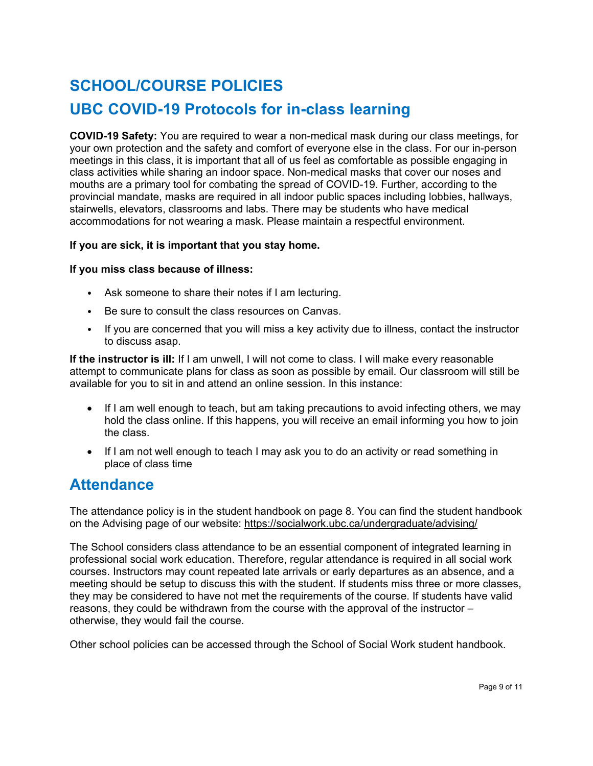# **SCHOOL/COURSE POLICIES**

### **UBC COVID-19 Protocols for in-class learning**

**COVID-19 Safety:** You are required to wear a non-medical mask during our class meetings, for your own protection and the safety and comfort of everyone else in the class. For our in-person meetings in this class, it is important that all of us feel as comfortable as possible engaging in class activities while sharing an indoor space. Non-medical masks that cover our noses and mouths are a primary tool for combating the spread of COVID-19. Further, according to the provincial mandate, masks are required in all indoor public spaces including lobbies, hallways, stairwells, elevators, classrooms and labs. There may be students who have medical accommodations for not wearing a mask. Please maintain a respectful environment.

#### **If you are sick, it is important that you stay home.**

#### **If you miss class because of illness:**

- Ask someone to share their notes if I am lecturing.
- Be sure to consult the class resources on Canvas.
- If you are concerned that you will miss a key activity due to illness, contact the instructor to discuss asap.

**If the instructor is ill:** If I am unwell, I will not come to class. I will make every reasonable attempt to communicate plans for class as soon as possible by email. Our classroom will still be available for you to sit in and attend an online session. In this instance:

- If I am well enough to teach, but am taking precautions to avoid infecting others, we may hold the class online. If this happens, you will receive an email informing you how to join the class.
- If I am not well enough to teach I may ask you to do an activity or read something in place of class time

### **Attendance**

The attendance policy is in the student handbook on page 8. You can find the student handbook on the Advising page of our website:<https://socialwork.ubc.ca/undergraduate/advising/>

The School considers class attendance to be an essential component of integrated learning in professional social work education. Therefore, regular attendance is required in all social work courses. Instructors may count repeated late arrivals or early departures as an absence, and a meeting should be setup to discuss this with the student. If students miss three or more classes, they may be considered to have not met the requirements of the course. If students have valid reasons, they could be withdrawn from the course with the approval of the instructor – otherwise, they would fail the course.

Other school policies can be accessed through the School of Social Work student handbook.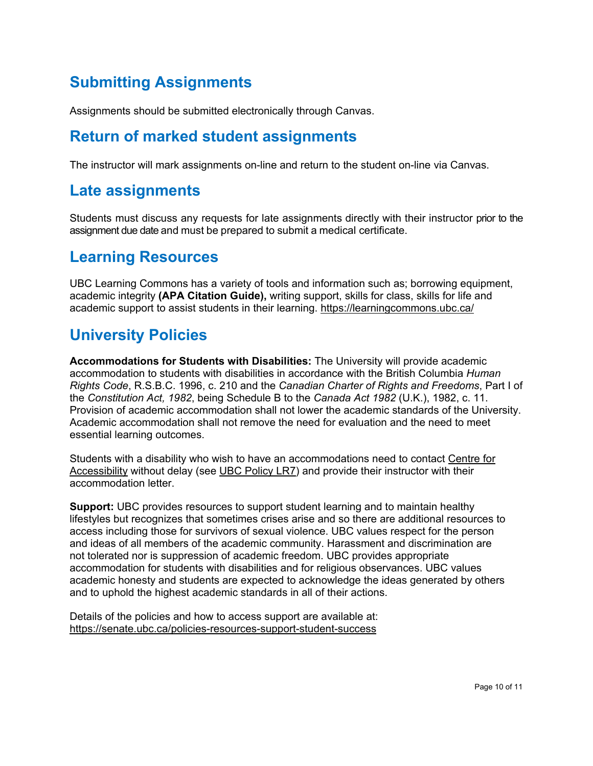# **Submitting Assignments**

Assignments should be submitted electronically through Canvas.

### **Return of marked student assignments**

The instructor will mark assignments on-line and return to the student on-line via Canvas.

### **Late assignments**

Students must discuss any requests for late assignments directly with their instructor prior to the assignment due date and must be prepared to submit a medical certificate.

### **Learning Resources**

UBC Learning Commons has a variety of tools and information such as; borrowing equipment, academic integrity **(APA Citation Guide),** writing support, skills for class, skills for life and academic support to assist students in their learning.<https://learningcommons.ubc.ca/>

### **University Policies**

**Accommodations for Students with Disabilities:** The University will provide academic accommodation to students with disabilities in accordance with the British Columbia *Human Rights Code*, R.S.B.C. 1996, c. 210 and the *Canadian Charter of Rights and Freedoms*, Part I of the *Constitution Act, 1982*, being Schedule B to the *Canada Act 1982* (U.K.), 1982, c. 11. Provision of academic accommodation shall not lower the academic standards of the University. Academic accommodation shall not remove the need for evaluation and the need to meet essential learning outcomes.

Students with a disability who wish to have an accommodations need to contact [Centre](http://www.students.ubc.ca/about-student-services/centre-for-accessibility) for [Accessibility](http://www.students.ubc.ca/about-student-services/centre-for-accessibility) without delay (see UBC [Policy](http://www.universitycounsel.ubc.ca/policies/policy73.pdf) LR7) and provide their instructor with their accommodation letter.

**Support:** UBC provides resources to support student learning and to maintain healthy lifestyles but recognizes that sometimes crises arise and so there are additional resources to access including those for survivors of sexual violence. UBC values respect for the person and ideas of all members of the academic community. Harassment and discrimination are not tolerated nor is suppression of academic freedom. UBC provides appropriate accommodation for students with disabilities and for religious observances. UBC values academic honesty and students are expected to acknowledge the ideas generated by others and to uphold the highest academic standards in all of their actions.

Details of the policies and how to access support are available at: <https://senate.ubc.ca/policies-resources-support-student-success>